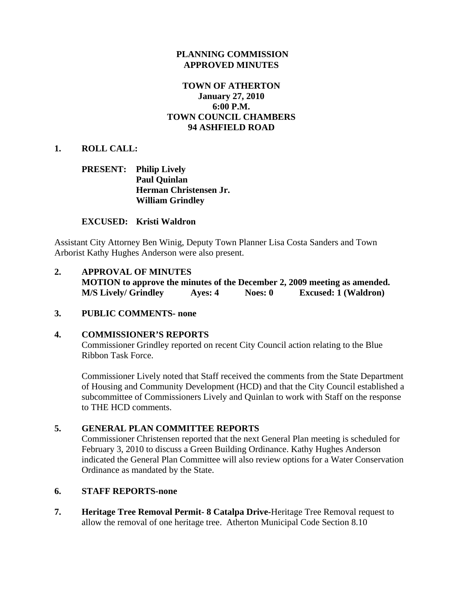## **PLANNING COMMISSION APPROVED MINUTES**

# **TOWN OF ATHERTON January 27, 2010 6:00 P.M. TOWN COUNCIL CHAMBERS 94 ASHFIELD ROAD**

### **1. ROLL CALL:**

## **PRESENT: Philip Lively Paul Quinlan Herman Christensen Jr. William Grindley**

### **EXCUSED: Kristi Waldron**

Assistant City Attorney Ben Winig, Deputy Town Planner Lisa Costa Sanders and Town Arborist Kathy Hughes Anderson were also present.

**2. APPROVAL OF MINUTES MOTION to approve the minutes of the December 2, 2009 meeting as amended. M/S Lively/ Grindley Ayes: 4 Noes: 0 Excused: 1 (Waldron)** 

### **3. PUBLIC COMMENTS- none**

### **4. COMMISSIONER'S REPORTS**

Commissioner Grindley reported on recent City Council action relating to the Blue Ribbon Task Force.

Commissioner Lively noted that Staff received the comments from the State Department of Housing and Community Development (HCD) and that the City Council established a subcommittee of Commissioners Lively and Quinlan to work with Staff on the response to THE HCD comments.

#### **5. GENERAL PLAN COMMITTEE REPORTS**

Commissioner Christensen reported that the next General Plan meeting is scheduled for February 3, 2010 to discuss a Green Building Ordinance. Kathy Hughes Anderson indicated the General Plan Committee will also review options for a Water Conservation Ordinance as mandated by the State.

### **6. STAFF REPORTS-none**

**7. Heritage Tree Removal Permit- 8 Catalpa Drive-**Heritage Tree Removal request to allow the removal of one heritage tree. Atherton Municipal Code Section 8.10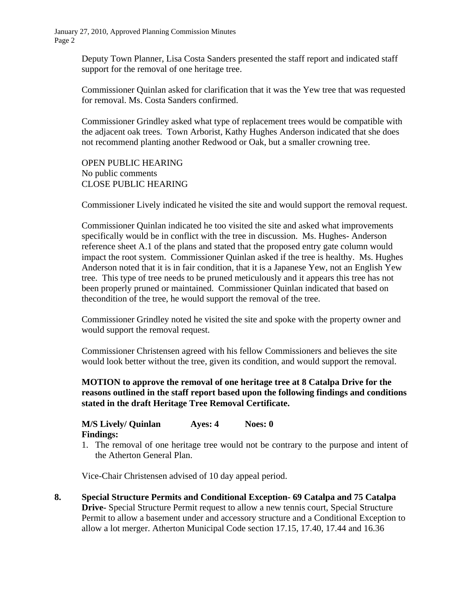> Deputy Town Planner, Lisa Costa Sanders presented the staff report and indicated staff support for the removal of one heritage tree.

Commissioner Quinlan asked for clarification that it was the Yew tree that was requested for removal. Ms. Costa Sanders confirmed.

Commissioner Grindley asked what type of replacement trees would be compatible with the adjacent oak trees. Town Arborist, Kathy Hughes Anderson indicated that she does not recommend planting another Redwood or Oak, but a smaller crowning tree.

OPEN PUBLIC HEARING No public comments CLOSE PUBLIC HEARING

Commissioner Lively indicated he visited the site and would support the removal request.

Commissioner Quinlan indicated he too visited the site and asked what improvements specifically would be in conflict with the tree in discussion. Ms. Hughes- Anderson reference sheet A.1 of the plans and stated that the proposed entry gate column would impact the root system. Commissioner Quinlan asked if the tree is healthy. Ms. Hughes Anderson noted that it is in fair condition, that it is a Japanese Yew, not an English Yew tree. This type of tree needs to be pruned meticulously and it appears this tree has not been properly pruned or maintained. Commissioner Quinlan indicated that based on thecondition of the tree, he would support the removal of the tree.

Commissioner Grindley noted he visited the site and spoke with the property owner and would support the removal request.

Commissioner Christensen agreed with his fellow Commissioners and believes the site would look better without the tree, given its condition, and would support the removal.

**MOTION to approve the removal of one heritage tree at 8 Catalpa Drive for the reasons outlined in the staff report based upon the following findings and conditions stated in the draft Heritage Tree Removal Certificate.** 

#### **M/S Lively/ Quinlan Ayes: 4 Noes: 0 Findings:**

1. The removal of one heritage tree would not be contrary to the purpose and intent of the Atherton General Plan.

Vice-Chair Christensen advised of 10 day appeal period.

**8. Special Structure Permits and Conditional Exception- 69 Catalpa and 75 Catalpa Drive-** Special Structure Permit request to allow a new tennis court, Special Structure Permit to allow a basement under and accessory structure and a Conditional Exception to allow a lot merger. Atherton Municipal Code section 17.15, 17.40, 17.44 and 16.36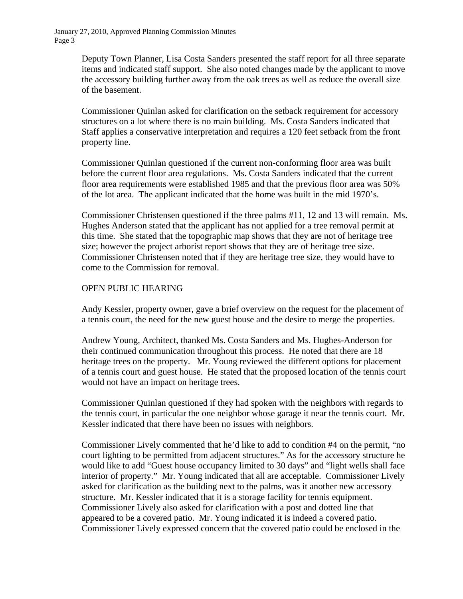> Deputy Town Planner, Lisa Costa Sanders presented the staff report for all three separate items and indicated staff support. She also noted changes made by the applicant to move the accessory building further away from the oak trees as well as reduce the overall size of the basement.

 Commissioner Quinlan asked for clarification on the setback requirement for accessory structures on a lot where there is no main building. Ms. Costa Sanders indicated that Staff applies a conservative interpretation and requires a 120 feet setback from the front property line.

 Commissioner Quinlan questioned if the current non-conforming floor area was built before the current floor area regulations. Ms. Costa Sanders indicated that the current floor area requirements were established 1985 and that the previous floor area was 50% of the lot area. The applicant indicated that the home was built in the mid 1970's.

 Commissioner Christensen questioned if the three palms #11, 12 and 13 will remain. Ms. Hughes Anderson stated that the applicant has not applied for a tree removal permit at this time. She stated that the topographic map shows that they are not of heritage tree size; however the project arborist report shows that they are of heritage tree size. Commissioner Christensen noted that if they are heritage tree size, they would have to come to the Commission for removal.

### OPEN PUBLIC HEARING

 Andy Kessler, property owner, gave a brief overview on the request for the placement of a tennis court, the need for the new guest house and the desire to merge the properties.

 Andrew Young, Architect, thanked Ms. Costa Sanders and Ms. Hughes-Anderson for their continued communication throughout this process. He noted that there are 18 heritage trees on the property. Mr. Young reviewed the different options for placement of a tennis court and guest house. He stated that the proposed location of the tennis court would not have an impact on heritage trees.

 Commissioner Quinlan questioned if they had spoken with the neighbors with regards to the tennis court, in particular the one neighbor whose garage it near the tennis court. Mr. Kessler indicated that there have been no issues with neighbors.

 Commissioner Lively commented that he'd like to add to condition #4 on the permit, "no court lighting to be permitted from adjacent structures." As for the accessory structure he would like to add "Guest house occupancy limited to 30 days" and "light wells shall face interior of property." Mr. Young indicated that all are acceptable. Commissioner Lively asked for clarification as the building next to the palms, was it another new accessory structure. Mr. Kessler indicated that it is a storage facility for tennis equipment. Commissioner Lively also asked for clarification with a post and dotted line that appeared to be a covered patio. Mr. Young indicated it is indeed a covered patio. Commissioner Lively expressed concern that the covered patio could be enclosed in the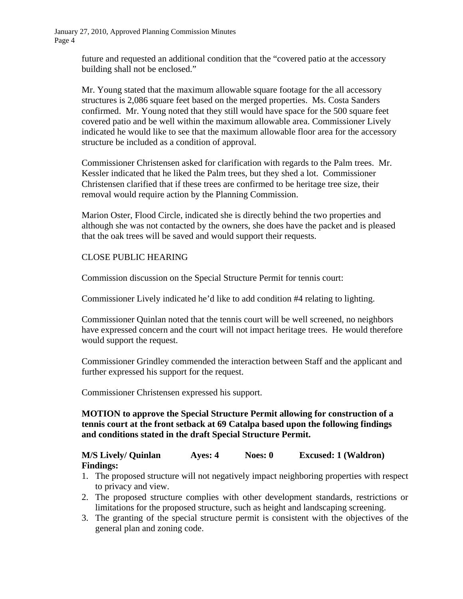> future and requested an additional condition that the "covered patio at the accessory building shall not be enclosed."

 Mr. Young stated that the maximum allowable square footage for the all accessory structures is 2,086 square feet based on the merged properties. Ms. Costa Sanders confirmed. Mr. Young noted that they still would have space for the 500 square feet covered patio and be well within the maximum allowable area. Commissioner Lively indicated he would like to see that the maximum allowable floor area for the accessory structure be included as a condition of approval.

 Commissioner Christensen asked for clarification with regards to the Palm trees. Mr. Kessler indicated that he liked the Palm trees, but they shed a lot. Commissioner Christensen clarified that if these trees are confirmed to be heritage tree size, their removal would require action by the Planning Commission.

 Marion Oster, Flood Circle, indicated she is directly behind the two properties and although she was not contacted by the owners, she does have the packet and is pleased that the oak trees will be saved and would support their requests.

# CLOSE PUBLIC HEARING

Commission discussion on the Special Structure Permit for tennis court:

Commissioner Lively indicated he'd like to add condition #4 relating to lighting.

Commissioner Quinlan noted that the tennis court will be well screened, no neighbors have expressed concern and the court will not impact heritage trees. He would therefore would support the request.

Commissioner Grindley commended the interaction between Staff and the applicant and further expressed his support for the request.

Commissioner Christensen expressed his support.

# **MOTION to approve the Special Structure Permit allowing for construction of a tennis court at the front setback at 69 Catalpa based upon the following findings and conditions stated in the draft Special Structure Permit.**

# **M/S Lively/ Quinlan Ayes: 4 Noes: 0 Excused: 1 (Waldron) Findings:**

- 1. The proposed structure will not negatively impact neighboring properties with respect to privacy and view.
- 2. The proposed structure complies with other development standards, restrictions or limitations for the proposed structure, such as height and landscaping screening.
- 3. The granting of the special structure permit is consistent with the objectives of the general plan and zoning code.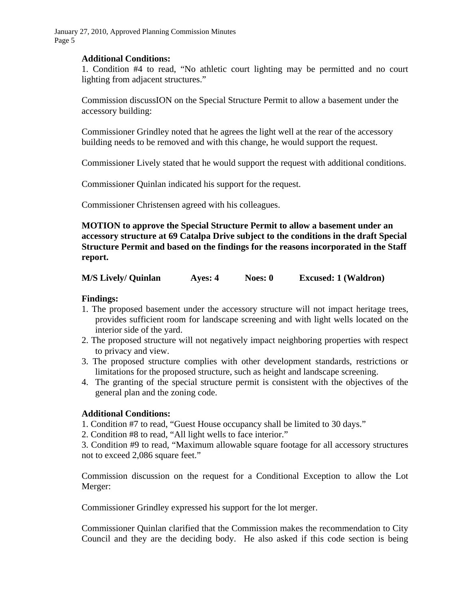#### **Additional Conditions:**

1. Condition #4 to read, "No athletic court lighting may be permitted and no court lighting from adjacent structures."

Commission discussION on the Special Structure Permit to allow a basement under the accessory building:

Commissioner Grindley noted that he agrees the light well at the rear of the accessory building needs to be removed and with this change, he would support the request.

Commissioner Lively stated that he would support the request with additional conditions.

Commissioner Quinlan indicated his support for the request.

Commissioner Christensen agreed with his colleagues.

**MOTION to approve the Special Structure Permit to allow a basement under an accessory structure at 69 Catalpa Drive subject to the conditions in the draft Special Structure Permit and based on the findings for the reasons incorporated in the Staff report.** 

| <b>M/S Lively/ Quinlan</b> | Ayes: 4 | Noes: 0 | <b>Excused: 1 (Waldron)</b> |
|----------------------------|---------|---------|-----------------------------|
|----------------------------|---------|---------|-----------------------------|

#### **Findings:**

- 1. The proposed basement under the accessory structure will not impact heritage trees, provides sufficient room for landscape screening and with light wells located on the interior side of the yard.
- 2. The proposed structure will not negatively impact neighboring properties with respect to privacy and view.
- 3. The proposed structure complies with other development standards, restrictions or limitations for the proposed structure, such as height and landscape screening.
- 4. The granting of the special structure permit is consistent with the objectives of the general plan and the zoning code.

#### **Additional Conditions:**

- 1. Condition #7 to read, "Guest House occupancy shall be limited to 30 days."
- 2. Condition #8 to read, "All light wells to face interior."

3. Condition #9 to read, "Maximum allowable square footage for all accessory structures not to exceed 2,086 square feet."

Commission discussion on the request for a Conditional Exception to allow the Lot Merger:

Commissioner Grindley expressed his support for the lot merger.

Commissioner Quinlan clarified that the Commission makes the recommendation to City Council and they are the deciding body. He also asked if this code section is being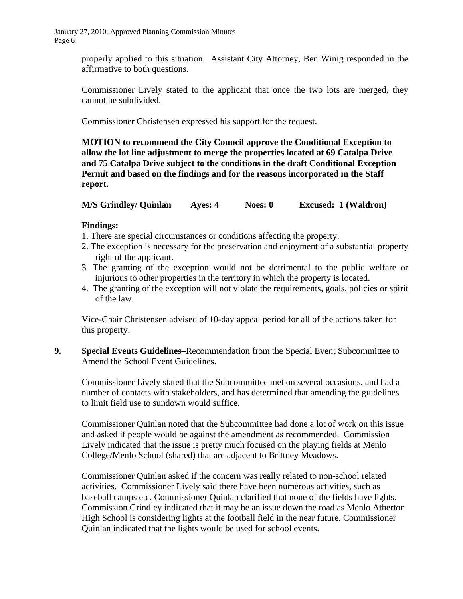properly applied to this situation. Assistant City Attorney, Ben Winig responded in the affirmative to both questions.

Commissioner Lively stated to the applicant that once the two lots are merged, they cannot be subdivided.

Commissioner Christensen expressed his support for the request.

**MOTION to recommend the City Council approve the Conditional Exception to allow the lot line adjustment to merge the properties located at 69 Catalpa Drive and 75 Catalpa Drive subject to the conditions in the draft Conditional Exception Permit and based on the findings and for the reasons incorporated in the Staff report.** 

**M/S Grindley/ Quinlan Ayes: 4 Noes: 0 Excused: 1 (Waldron)** 

# **Findings:**

- 1. There are special circumstances or conditions affecting the property.
- 2. The exception is necessary for the preservation and enjoyment of a substantial property right of the applicant.
- 3. The granting of the exception would not be detrimental to the public welfare or injurious to other properties in the territory in which the property is located.
- 4. The granting of the exception will not violate the requirements, goals, policies or spirit of the law.

Vice-Chair Christensen advised of 10-day appeal period for all of the actions taken for this property.

**9. Special Events Guidelines–**Recommendation from the Special Event Subcommittee to Amend the School Event Guidelines.

Commissioner Lively stated that the Subcommittee met on several occasions, and had a number of contacts with stakeholders, and has determined that amending the guidelines to limit field use to sundown would suffice.

Commissioner Quinlan noted that the Subcommittee had done a lot of work on this issue and asked if people would be against the amendment as recommended. Commission Lively indicated that the issue is pretty much focused on the playing fields at Menlo College/Menlo School (shared) that are adjacent to Brittney Meadows.

Commissioner Quinlan asked if the concern was really related to non-school related activities. Commissioner Lively said there have been numerous activities, such as baseball camps etc. Commissioner Quinlan clarified that none of the fields have lights. Commission Grindley indicated that it may be an issue down the road as Menlo Atherton High School is considering lights at the football field in the near future. Commissioner Quinlan indicated that the lights would be used for school events.